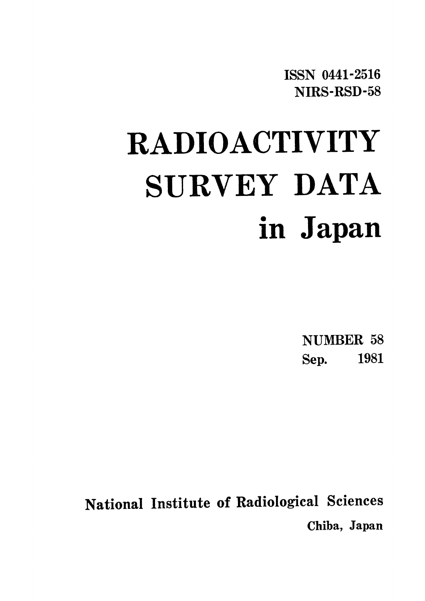**ISSN 0441-2516** NIRS-RSD-58

# **RADIOACTIVITY** SURVEY DATA in Japan

**NUMBER 58** Sep. 1981

National Institute of Radiological Sciences Chiba, Japan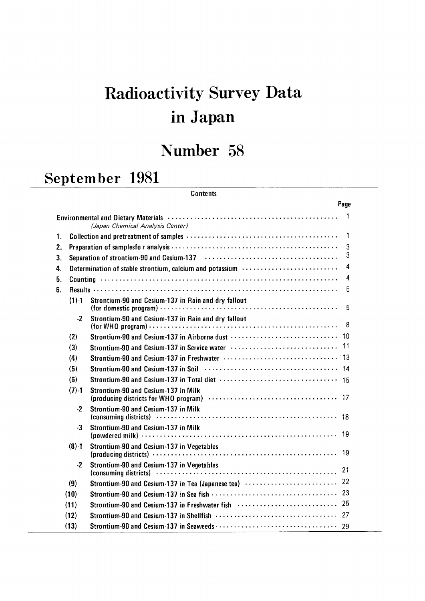# Radioactivity Survey Data inJapan

# Number 58

## September 1981

#### **Contents**

|    |           |                                                                                                                                                    | Page         |
|----|-----------|----------------------------------------------------------------------------------------------------------------------------------------------------|--------------|
|    |           | Environmental and Dietary Materials (and the contract of the contract of the contract of the contract of the c<br>(Japan Chemical Analysis Center) | $\mathbf{1}$ |
| 1. |           |                                                                                                                                                    | 1            |
| 2. |           |                                                                                                                                                    | 3            |
| 3. |           | Separation of strontium-90 and Cesium-137 (and accommodation of strong contact to the separation of strontium-                                     | 3            |
| 4. |           | Determination of stable strontium, calcium and potassium (and the context context of the Determination of stable                                   | 4            |
| 5. |           |                                                                                                                                                    | 4            |
| 6. |           |                                                                                                                                                    | 5            |
|    | $(1) - 1$ | Strontium-90 and Cesium-137 in Rain and dry fallout                                                                                                | 5            |
|    | $-2$      | Strontium-90 and Cesium-137 in Rain and dry fallout                                                                                                | -8           |
|    | (2)       |                                                                                                                                                    |              |
|    | (3)       |                                                                                                                                                    |              |
|    | (4)       |                                                                                                                                                    |              |
|    | (5)       | Strontium-90 and Cesium-137 in Soil (and the context of the context of the 14                                                                      |              |
|    | (6)       | Strontium-90 and Cesium-137 in Total diet (and the content of the strong of the strong strong strong strong st                                     |              |
|    | $(7) - 1$ | Strontium-90 and Cesium-137 in Milk                                                                                                                |              |
|    | $-2$      | Strontium-90 and Cesium-137 in Milk                                                                                                                |              |
|    | $-3$      | Strontium-90 and Cesium-137 in Milk                                                                                                                | -19          |
|    | $(8)-1$   | Strontium-90 and Cesium-137 in Vegetables                                                                                                          |              |
|    | $-2$      | Strontium-90 and Cesium-137 in Vegetables                                                                                                          | -21          |
|    | (9)       | Strontium-90 and Cesium-137 in Tea (Japanese tea)  22                                                                                              |              |
|    | (10)      |                                                                                                                                                    |              |
|    | (11)      | Strontium-90 and Cesium-137 in Freshwater fish  25                                                                                                 |              |
|    | (12)      |                                                                                                                                                    |              |
|    | (13)      |                                                                                                                                                    |              |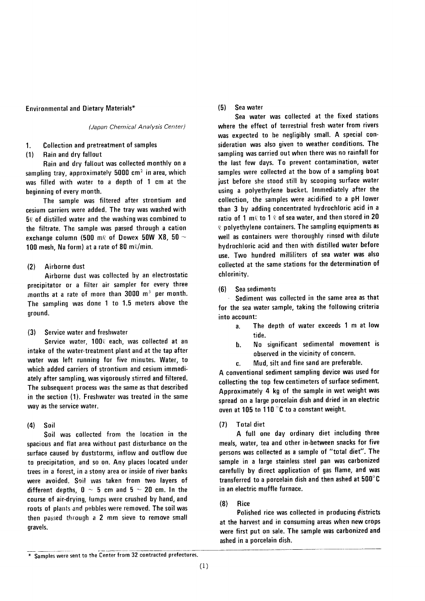#### **Environmental and Dietary Materials\***

(Japan Chemical Analysis Center)

#### **Collection and pretreatment of samples** 1.

#### Rain and dry fallout  $(1)$

Rain and dry fallout was collected monthly on a sampling tray, approximately 5000 cm<sup>2</sup> in area, which was filled with water to a depth of 1 cm at the beginning of every month.

The sample was filtered after strontium and cesium carriers were added. The tray was washed with  $5\ell$  of distilled water and the washing was combined to the filtrate. The sample was passed through a cation exchange column (500 m $\ell$  of Dowex 50W X8, 50  $\sim$ 100 mesh. Na form) at a rate of 80 m $\ell$ /min.

#### $(2)$ Airborne dust

Airborne dust was collected by an electrostatic precipitator or a filter air sampler for every three months at a rate of more than  $3000 \, \text{m}^3$  per month. The sampling was done 1 to 1.5 meters above the around.

#### Service water and freshwater  $(3)$

Service water, 1000 each, was collected at an intake of the water-treatment plant and at the tap after water was left running for five minutes. Water, to which added carriers of strontium and cesium immediately after sampling, was vigorously stirred and filtered. The subsequent process was the same as that described in the section (1). Freshwater was treated in the same way as the service water.

 $(4)$ Soil

Soil was collected from the location in the spacious and flat area without past disturbance on the surface caused by duststorms, inflow and outflow due to precipitation, and so on. Any places located under trees in a forest, in a stony area or inside of river banks were avoided. Soil was taken from two layers of different depths,  $0 \sim 5$  cm and  $5 \sim 20$  cm. In the course of air-drying, lumps were crushed by hand, and roots of plants and pebbles were removed. The soil was then passed through a 2 mm sieve to remove small gravels.

#### $(5)$ Sea water

Sea water was collected at the fixed stations where the effect of terrestrial fresh water from rivers was expected to be negligibly small. A special consideration was also given to weather conditions. The sampling was carried out when there was no rainfall for the last few days. To prevent contamination, water samples were collected at the bow of a sampling boat just before she stood still by scooping surface water using a polyethylene bucket. Immediately after the collection, the samples were acidified to a pH lower than 3 by adding concentrated hydrochloric acid in a ratio of 1 m $\ell$  to 1  $\ell$  of sea water, and then stored in 20  $\ell$  polyethylene containers. The sampling equipments as well as containers were thoroughly rinsed with dilute hydrochloric acid and then with distilled water before use. Two hundred milliliters of sea water was also collected at the same stations for the determination of chlorinity.

#### Sea sediments  $(6)$

Sediment was collected in the same area as that for the sea water sample, taking the following criteria into account:

- The depth of water exceeds 1 m at low  $\overline{a}$ . ehit
- No significant sedimental movement is **.** observed in the vicinity of concern.
- Mud, silt and fine sand are preferable.  $\mathbf{c}$ .

A conventional sediment sampling device was used for collecting the top few centimeters of surface sediment. Approximately 4 kg of the sample in wet weight was spread on a large porcelain dish and dried in an electric oven at 105 to 110 °C to a constant weight.

#### $(7)$ **Total diet**

A full one day ordinary diet including three meals, water, tea and other in-between snacks for five persons was collected as a sample of "total diet". The sample in a large stainless steel pan was carbonized carefully by direct application of gas flame, and was transferred to a porcelain dish and then ashed at 500°C in an electric muffle furnace.

#### $(8)$ **Rice**

Polished rice was collected in producing districts at the harvest and in consuming areas when new crops were first put on sale. The sample was carbonized and ashed in a porcelain dish.

<sup>\*</sup> Samples were sent to the Center from 32 contracted prefectures.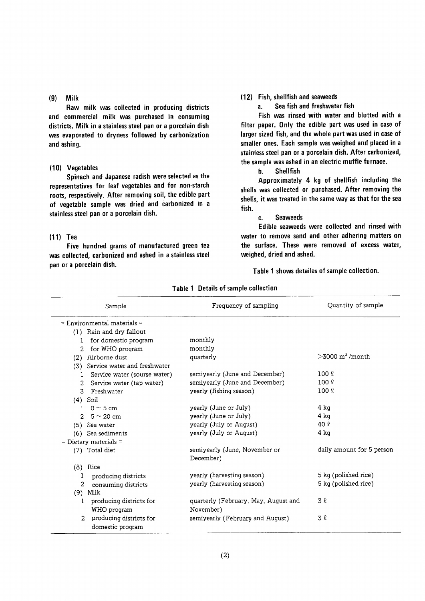#### $(9)$  Milk

Raw milk was collected in producing districts and commercial milk was purchased in consuming districts. Milk in a stainless steel pan or a porcelain dish was evaporated to dryness followed by carbonization and ashing.

#### (10) Vegetables

Spinach and Japanese radish were selected as the representatives for leaf vegetables and for non-starch roots, respectively. After removing soil, the edible part of vegetable sample was dried and carbonized in a stainless steel pan or a porcelain dish.

#### $(11)$  Tea

Five hundred grams of manufactured green tea was collected, carbonized and ashed in a stainless steel pan or a porcelain dish.

#### (12) Fish, shellfish and seaweeds

a. Sea fish and freshwater fish

Fish was rinsed with water and blotted with a filter paper. Only the edible part was used in case of larger sized fish, and the whole part was used in case of smaller ones. Each sample was weighed and placed in a stainless steel pan or a porcelain dish. After carbonized, the sample was ashed in an electric muffle furnace.

h. Shellfish

Approximately 4 kg of shellfish including the shells was collected or purchased. After removing the shells, it was treated in the same way as that for the sea fish.

#### c. Seaweed

Edible seaweeds were collected and rinsed with water to remove sand and other adhering matters on the surface. These were removed of excess water, weighed, dried and ashed.

Table 1 shows detailes of sample collection.

| Sample                                    | Frequency of sampling                | Quantity of sample               |
|-------------------------------------------|--------------------------------------|----------------------------------|
| $=$ Environmental materials $=$           |                                      |                                  |
| (1) Rain and dry fallout                  |                                      |                                  |
| for domestic program<br>1                 | monthly                              |                                  |
| for WHO program<br>2                      | monthly                              |                                  |
| Airborne dust<br>(2)                      | quarterly                            | $>3000 \text{ m}^3/\text{month}$ |
| (3) Service water and freshwater          |                                      |                                  |
| Service water (sourse water)              | semiyearly (June and December)       | $100 \ell$                       |
| Service water (tap water)<br>2            | semiyearly (June and December)       | 100 R                            |
| Freshwater<br>3                           | yearly (fishing season)              | 100 <sub>8</sub>                 |
| $(4)$ Soil                                |                                      |                                  |
| $0 \sim 5$ cm<br>1                        | yearly (June or July)                | 4 ka                             |
| $5 \sim 20$ cm<br>$\overline{2}$          | yearly (June or July)                | 4 ka                             |
| (5) Sea water                             | yearly (July or August)              | 40 $\ell$                        |
| Sea sediments<br>(6)                      | yearly (July or August)              | $4$ kg                           |
| $=$ Dietary materials $=$                 |                                      |                                  |
| (7) Total diet                            | semiyearly (June, November or        | daily amount for 5 person        |
| $(8)$ Rice                                | December)                            |                                  |
| producing districts<br>1                  | yearly (harvesting season)           | 5 kg (polished rice)             |
| 2<br>consuming districts                  | yearly (harvesting season)           | 5 kg (polished rice)             |
| $(9)$ Milk                                |                                      |                                  |
| producing districts for<br>1              | quarterly (February, May, August and | 3 l                              |
| WHO program                               | November)                            |                                  |
| producing districts for<br>$\overline{2}$ | semiyearly (February and August)     | 3 2                              |
| domestic program                          |                                      |                                  |

#### Table 1 Details of sample collection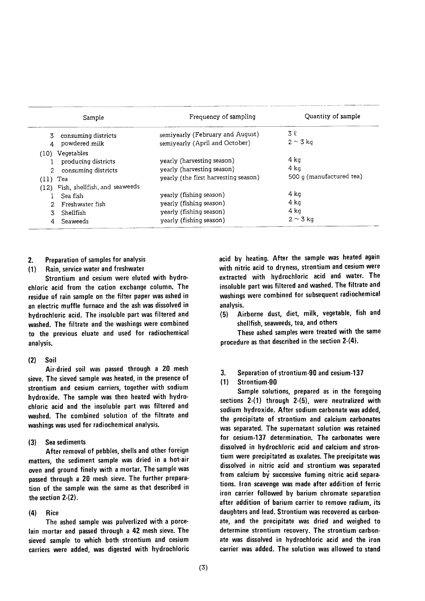| Sample                                                                                          | Frequency of sampling                                                                                    | Quantity of sample                       |
|-------------------------------------------------------------------------------------------------|----------------------------------------------------------------------------------------------------------|------------------------------------------|
| consuming districts<br>3<br>powdered milk                                                       | semiyearly (February and August)<br>semiyearly (April and October)                                       | 3 l<br>$2 \sim 3$ kg                     |
| (10) Vegetables<br>producing districts<br>consuming districts<br>$(11)$ Tea                     | yearly (harvesting season)<br>yearly (harvesting season)<br>vearly (the first harvesting season)         | 4 ka<br>4 ka<br>500 q (manufactured tea) |
| (12) Fish, shellfish, and seaweeds<br>Sea fish<br>Freshwater fish<br>Shellfish<br>Seaweeds<br>4 | yearly (fishing season)<br>yearly (fishing season)<br>yearly (fishing season)<br>yearly (fishing season) | 4 ka<br>4 kg<br>4 ka<br>$2 \sim 3$ kg    |

#### Preparation of samples for analysis  $2.$

Rain, service water and freshwater  $(1)$ 

Strontium and cesium were eluted with hydrochloric acid from the cation exchange column. The residue of rain sample on the filter paper was ashed in an electric muffle furnace and the ash was dissolved in hydrochloric acid. The insoluble part was filtered and washed. The filtrate and the washings were combined to the previous eluate and used for radiochemical analysis.

#### $(2)$ Soil

Air-dried soil was passed through a 20 mesh sieve. The sieved sample was heated, in the presence of strontium and cesium carriers, together with sodium hydroxide. The sample was then heated with hydrochloric acid and the insoluble part was filtered and washed. The combined solution of the filtrate and washings was used for radiochemical analysis.

#### Sea sediments  $(3)$

After removal of pebbles, shells and other foreign matters, the sediment sample was dried in a hot-air oven and ground finely with a mortar. The sample was passed through a 20 mesh sieve. The further preparation of the sample was the same as that described in the section 2-(2).

#### $(4)$ **Rice**

The ashed sample was pulverlized with a porcelain mortar and passed through a 42 mesh sieve. The sieved sample to which both strontium and cesium carriers were added, was digested with hydrochloric acid by heating. After the sample was heated again with nitric acid to dryness, strontium and cesium were extracted with hydrochloric acid and water. The insoluble part was filtered and washed. The filtrate and washings were combined for subsequent radiochemical analysis.

Airborne dust, diet, milk, vegetable, fish and  $(5)$ shellfish, seaweeds, tea, and others

These ashed samples were treated with the same procedure as that described in the section 2-(4).

 $3<sub>1</sub>$ Separation of strontium-90 and cesium-137

#### $(1)$ Strontium-90

Sample solutions, prepared as in the foregoing sections  $2-(1)$  through  $2-(5)$ , were neutralized with sodium hydroxide. After sodium carbonate was added, the precipitate of strontium and calcium carbonates was separated. The supernatant solution was retained for cesium-137 determination. The carbonates were dissolved in hydrochloric acid and calcium and strontium were precipitated as oxalates. The precipitate was dissolved in nitric acid and strontium was separated from calcium by successive fuming nitric acid separations. Iron scavenge was made after addition of ferric iron carrier followed by barium chromate separation after addition of barium carrier to remove radium, its daughters and lead. Strontium was recovered as carbonate, and the precipitate was dried and weighed to determine strontium recovery. The strontium carbonate was dissolved in hydrochloric acid and the iron carrier was added. The solution was allowed to stand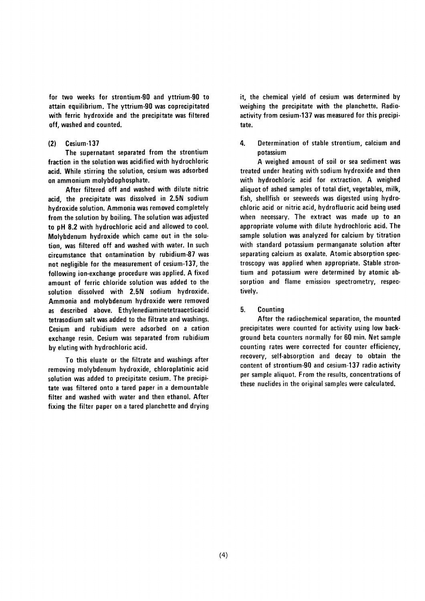for two weeks for strontium-90 and yttrium-90 to attain equilibrium. The yttrium-90 was coprecipitated with ferric hydroxide and the precipitate was filtered off, washed and counted.

#### $(2)$ Cesium-137

The supernatant separated from the strontium fraction in the solution was acidified with hydrochloric acid. While stirring the solution, cesium was adsorbed on ammonium molybdophosphate.

After filtered off and washed with dilute nitric acid, the precipitate was dissolved in 2.5N sodium hydroxide solution. Ammonia was removed completely from the solution by boiling. The solution was adjusted to pH 8.2 with hydrochloric acid and allowed to cool. Molybdenum hydroxide which came out in the solution, was filtered off and washed with water. In such circumstance that ontamination by rubidium-87 was not negligible for the measurement of cesium-137, the following ion-exchange procedure was applied. A fixed amount of ferric chloride solution was added to the solution dissolved with 2.5N sodium hydroxide. Ammonia and molybdenum hydroxide were removed as described above. Ethylenediaminetetraaceticacid tetrasodium salt was added to the filtrate and washings. Cesium and rubidium were adsorbed on a cation exchange resin. Cesium was separated from rubidium by eluting with hydrochloric acid.

To this eluate or the filtrate and washings after removing molybdenum hydroxide, chloroplatinic acid solution was added to precipitate cesium. The precipitate was filtered onto a tared paper in a demountable filter and washed with water and then ethanol. After fixing the filter paper on a tared planchette and drying it, the chemical yield of cesium was determined by weighing the precipitate with the planchette. Radioactivity from cesium-137 was measured for this precipitate.

#### 4. Determination of stable strontium, calcium and potassium

A weighed amount of soil or sea sediment was treated under heating with sodium hydroxide and then with hydrochloric acid for extraction. A weighed aliquot of ashed samples of total diet, vegetables, milk, fish, shellfish or seeweeds was digested using hydrochloric acid or nitric acid, hydrofluoric acid being used when necessary. The extract was made up to an appropriate volume with dilute hydrochloric acid. The sample solution was analyzed for calcium by titration with standard potassium permanganate solution after separating calcium as oxalate. Atomic absorption spectroscopy was applied when appropriate. Stable strontium and potassium were determined by atomic absorption and flame emission spectrometry, respectively.

#### $5.$ Counting

After the radiochemical separation, the mounted precipitates were counted for activity using low background beta counters normally for 60 min. Net sample counting rates were corrected for counter efficiency, recovery, self-absorption and decay to obtain the content of strontium-90 and cesium-137 radio activity per sample aliquot. From the results, concentrations of these nuclides in the original samples were calculated.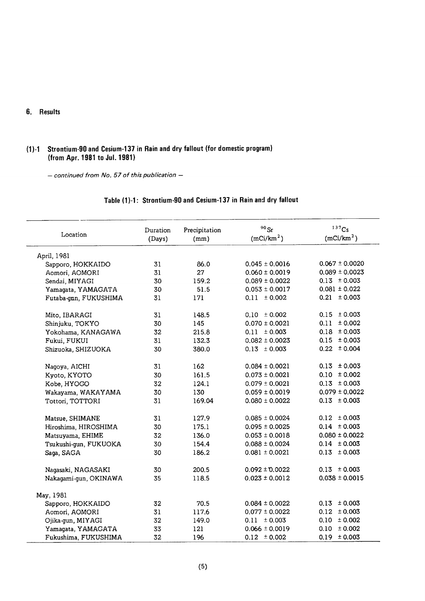#### 6. Results

## (1)-1 Strontium-90 and Cesium-137 in Rain and dry fallout (for domestic program) (from Apr. 1981 to Jul. 1981)

- continued from No. 57 of this publication -

## Table (1)-1: Strontium-90 and Cesium-137 in Rain and dry fallout

| Location              | Duration<br>(Days) | Precipitation<br>(mm) | $90$ Sr<br>(mCi/km <sup>2</sup> ) | 137C <sub>S</sub><br>(mCi/km <sup>2</sup> ) |
|-----------------------|--------------------|-----------------------|-----------------------------------|---------------------------------------------|
| April, 1981           |                    |                       |                                   |                                             |
| Sapporo, HOKKAIDO     | 31                 | 86.0                  | $0.045 \pm 0.0016$                | $0.067 \pm 0.0020$                          |
| Aomori, AOMORI        | 31                 | 27                    | $0.060 \pm 0.0019$                | $0.089 \pm 0.0023$                          |
| Sendai, MIYAGI        | 30                 | 159.2                 | $0.089 \pm 0.0022$                | $0.13 \pm 0.003$                            |
| Yamagata, YAMAGATA    | 30                 | 51.5                  | $0.053 \pm 0.0017$                | $0.081 \pm 0.022$                           |
| Futaba-gnn, FUKUSHIMA | 31                 | 171                   | $0.11 \pm 0.002$                  | $0.21 \pm 0.003$                            |
| Mito, IBARAGI         | 31                 | 148.5                 | $0.10 \pm 0.002$                  | $0.15 \pm 0.003$                            |
| Shinjuku, TOKYO       | 30                 | 145                   | $0.070 \pm 0.0021$                | $0.11 \pm 0.002$                            |
| Yokohama, KANAGAWA    | 32                 | 215.8                 | $0.11 \pm 0.003$                  | $0.18 \pm 0.003$                            |
| Fukui, FUKUI          | 31                 | 132.3                 | $0.082 \pm 0.0023$                | $0.15 \pm 0.003$                            |
| Shizuoka, SHIZUOKA    | 30                 | 380.0                 | $0.13 \pm 0.003$                  | $0.22 \pm 0.004$                            |
| Nagoya, AICHI         | 31                 | 162                   | $0.084 \pm 0.0021$                | $0.13 \pm 0.003$                            |
| Kyoto, KYOTO          | 30                 | 161.5                 | $0.073 \pm 0.0021$                | $0.10 \pm 0.002$                            |
| Kobe, HYOGO           | 32                 | 124.1                 | $0.079 \pm 0.0021$                | $0.13 \pm 0.003$                            |
| Wakayama, WAKAYAMA    | 30                 | 130                   | $0.059 \pm 0.0019$                | $0.079 \pm 0.0022$                          |
| Tottori, TOTTORI      | 31                 | 169.04                | $0.080 \pm 0.0022$                | $0.13 \pm 0.003$                            |
| Matsue, SHIMANE       | 31                 | 127.9                 | $0.085 \pm 0.0024$                | $0.12 \pm 0.003$                            |
| Hiroshima, HIROSHIMA  | 30                 | 175.1                 | $0.095 \pm 0.0025$                | $0.14 \pm 0.003$                            |
| Matsuyama, EHIME      | 32                 | 136.0                 | $0.053 \pm 0.0018$                | $0.080 \pm 0.0022$                          |
| Tsukushi-gun, FUKUOKA | 30                 | 154.4                 | $0.088 \pm 0.0024$                | $0.14 \pm 0.003$                            |
| Saga, SAGA            | 30                 | 186.2                 | $0.081 \pm 0.0021$                | $0.13 \pm 0.003$                            |
| Nagasaki, NAGASAKI    | 30                 | 200.5                 | $0.092 \pm 0.0022$                | $0.13 \pm 0.003$                            |
| Nakagami-gun, OKINAWA | 35                 | 118.5                 | $0.023 \pm 0.0012$                | $0.038 \pm 0.0015$                          |
| May, 1981             |                    |                       |                                   |                                             |
| Sapporo, HOKKAIDO     | 32                 | 70.5                  | $0.084 \pm 0.0022$                | $0.13 \pm 0.003$                            |
| Aomori, AOMORI        | 31                 | 117.6                 | $0.077 \pm 0.0022$                | $0.12 \pm 0.003$                            |
| Ojika-gun, MIYAGI     | 32                 | 149.0                 | $0.11 \pm 0.003$                  | $0.10 \pm 0.002$                            |
| Yamagata, YAMAGATA    | 33                 | 121                   | $0.066 \pm 0.0019$                | $0.10 \pm 0.002$                            |
| Fukushima, FUKUSHIMA  | 32                 | 196                   | $0.12 \pm 0.002$                  | $0.19 \pm 0.003$                            |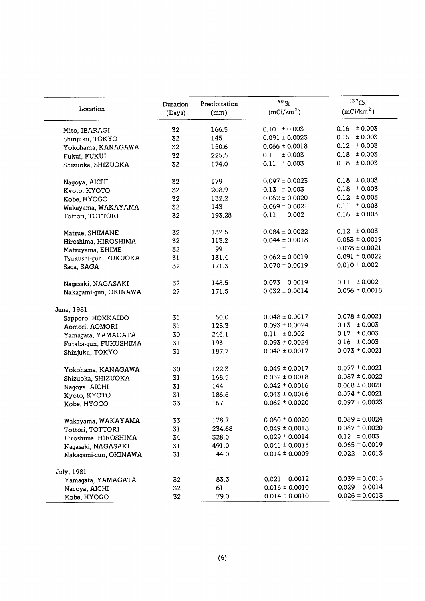|                       | Duration | Precipitation | $90$ Sr                | 137Cs                  |
|-----------------------|----------|---------------|------------------------|------------------------|
| Location              | (Days)   | (mm)          | (mCi/km <sup>2</sup> ) | (mCi/km <sup>2</sup> ) |
|                       |          |               |                        |                        |
| Mito, IBARAGI         | 32       | 166.5         | $0.10 \pm 0.003$       | $0.16 \pm 0.003$       |
| Shinjuku, TOKYO       | 32       | 145           | $0.091 \pm 0.0023$     | ± 0.003<br>0.15        |
| Yokohama, KANAGAWA    | 32       | 150.6         | $0.066 \pm 0.0018$     | $0.12 \pm 0.003$       |
| Fukui, FUKUI          | 32       | 225.5         | $0.11 \pm 0.003$       | $0.18 \pm 0.003$       |
| Shizuoka, SHIZUOKA    | 32       | 174.0         | $0.11 \pm 0.003$       | $0.18 \pm 0.003$       |
| Nagoya, AICHI         | 32       | 179           | $0.097 \pm 0.0023$     | $0.18 \pm 0.003$       |
| Kyoto, KYOTO          | 32       | 208.9         | $0.13 \pm 0.003$       | ± 0.003<br>0.18        |
| Kobe, HYOGO           | 32       | 132.2         | $0.062 \pm 0.0020$     | $0.12 \pm 0.003$       |
| Wakayama, WAKAYAMA    | 32       | 143           | $0.069 \pm 0.0021$     | ± 0.003<br>0.11        |
| Tottori, TOTTORI      | 32       | 193.28        | $0.11 \pm 0.002$       | $0.16 \pm 0.003$       |
| Matsue, SHIMANE       | 32       | 132.5         | $0.084 \pm 0.0022$     | $0.12 \pm 0.003$       |
| Hiroshima, HIROSHIMA  | 32       | 113.2         | $0.044 \pm 0.0018$     | $0.053 \pm 0.0019$     |
| Matsuyama, EHIME      | 32       | 99            | $\pm$                  | $0.078 \pm 0.0021$     |
| Tsukushi-qun, FUKUOKA | 31       | 131.4         | $0.062 \pm 0.0019$     | $0.091 \pm 0.0022$     |
| Saga, SAGA            | 32       | 171.3         | $0.070 \pm 0.0019$     | $0.010 \pm 0.002$      |
| Nagasaki, NAGASAKI    | 32       | 148.5         | $0.073 \pm 0.0019$     | $0.11 \pm 0.002$       |
| Nakagami-gun, OKINAWA | 27       | 171.5         | $0.032 \pm 0.0014$     | $0.056 \pm 0.0018$     |
| June, 1981            |          |               |                        |                        |
| Sapporo, HOKKAIDO     | 31       | 50.0          | $0.048 \pm 0.0017$     | $0.078 \pm 0.0021$     |
| Aomori, AOMORI        | 31       | 128.3         | $0.093 \pm 0.0024$     | $0.13 \pm 0.003$       |
| Yamagata, YAMAGATA    | 30       | 246.1         | $0.11 \pm 0.002$       | $0.17 \pm 0.003$       |
| Futaba-gun, FUKUSHIMA | 31       | 193           | $0.093 \pm 0.0024$     | $0.16 \pm 0.003$       |
| Shinjuku, TOKYO       | 31       | 187.7         | $0.048 \pm 0.0017$     | $0.073 \pm 0.0021$     |
|                       |          |               | $0.049 \pm 0.0017$     | $0.077 \pm 0.0021$     |
| Yokohama, KANAGAWA    | 30       | 122.3         | $0.052 \pm 0.0018$     | $0.087 \pm 0.0022$     |
| Shizuoka, SHIZUOKA    | 31       | 168.5         | $0.042 \pm 0.0016$     | $0.068 \pm 0.0021$     |
| Nagoya, AICHI         | 31       | 144           | $0.043 \pm 0.0016$     | $0.074 \pm 0.0021$     |
| Kyoto, KYOTO          | 31       | 186.6         | $0.062 \pm 0.0020$     | $0.097 \pm 0.0023$     |
| Kobe, HYOGO           | 33       | 167.1         |                        |                        |
| Wakayama, WAKAYAMA    | 33       | 178.7         | $0.060 \pm 0.0020$     | $0.089 \pm 0.0024$     |
| Tottori, TOTTORI      | 31       | 234.68        | $0.049 \pm 0.0018$     | $0.067 \pm 0.0020$     |
| Hiroshima, HIROSHIMA  | 34       | 328.0         | $0.029 \pm 0.0014$     | $0.12 \pm 0.003$       |
| Naqasaki, NAGASAKI    | 31       | 491.0         | $0.041 \pm 0.0015$     | $0.065 \pm 0.0019$     |
| Nakagami-gun, OKINAWA | 31       | 44.0          | $0.014 \pm 0.0009$     | $0.022 \pm 0.0013$     |
| July, 1981            |          |               |                        |                        |
| Yamagata, YAMAGATA    | 32       | 83.3          | $0.021 \pm 0.0012$     | $0.039 \pm 0.0015$     |
| Nagoya, AICHI         | 32       | 161           | $0.016 \pm 0.0010$     | $0.029 \pm 0.0014$     |
| Kobe, HYOGO           | 32       | 79.0          | $0.014 \pm 0.0010$     | $0.026 \pm 0.0013$     |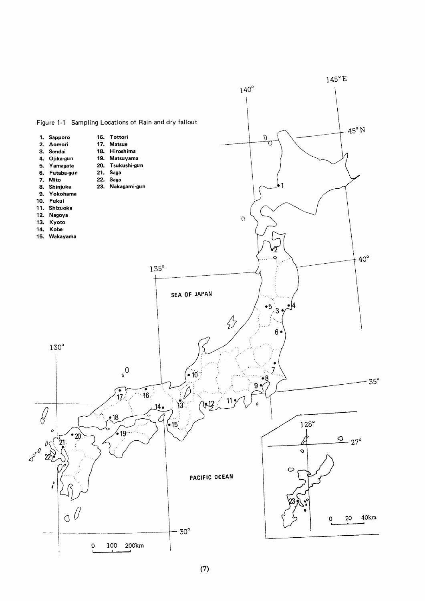

 $(7)$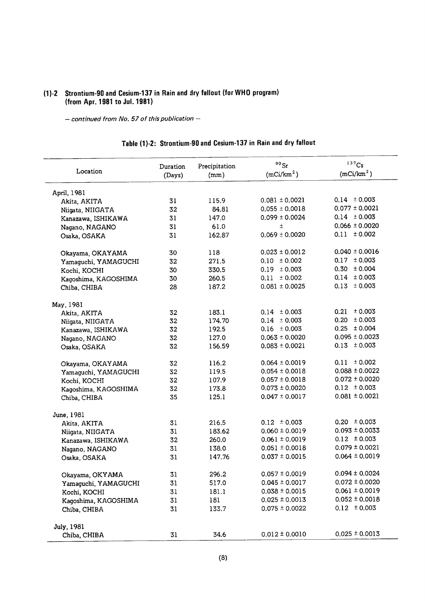#### (1)-2 Strontium-90 and Cesium-137 in Rain and dry fallout (for WHO ) (from Apr. 1981 to Jul. 19

 $-$  continued from No. 57 of this publication  $-$ 

| Table (1)-2: Strontium-90 and Cesium-137 in Rain and dry fallout |  |  |  |  |
|------------------------------------------------------------------|--|--|--|--|
|------------------------------------------------------------------|--|--|--|--|

| Location             | Duration<br>(Days) | Precipitation<br>(mm) | $90$ Sr<br>(mCi/km <sup>2</sup> ) | $137$ Cs<br>(mCi/km <sup>2</sup> ) |
|----------------------|--------------------|-----------------------|-----------------------------------|------------------------------------|
| April, 1981          |                    |                       |                                   |                                    |
| Akita, AKITA         | 31                 | 115.9                 | $0.081 \pm 0.0021$                | $0.14 \pm 0.003$                   |
| Niigata, NIIGATA     | 32                 | 84.81                 | $0.055 \pm 0.0018$                | $0.077 \pm 0.0021$                 |
| Kanazawa, ISHIKAWA   | 31                 | 147.0                 | $0.099 \pm 0.0024$                | $0.14 \pm 0.003$                   |
| Nagano, NAGANO       | 31                 | 61.0                  | $\pm$                             | $0.066 \pm 0.0020$                 |
| Osaka, OSAKA         | 31                 | 162.87                | $0.069 \pm 0.0020$                | $0.11 \pm 0.002$                   |
| Okayama, OKAYAMA     | 30                 | 118                   | $0.023 \pm 0.0012$                | $0.040 \pm 0.0016$                 |
| Yamaguchi, YAMAGUCHI | 32                 | 271.5                 | $0.10 \pm 0.002$                  | $0.17 \pm 0.003$                   |
| Kochi, KOCHI         | 30                 | 330.5                 | $0.19 \pm 0.003$                  | $0.30 \pm 0.004$                   |
| Kagoshima, KAGOSHIMA | 30                 | 260.5                 | $0.11 \pm 0.002$                  | $0.14 \pm 0.003$                   |
| Chiba, CHIBA         | 28                 | 187.2                 | $0.081 \pm 0.0025$                | $0.13 \pm 0.003$                   |
| May, 1981            |                    |                       |                                   |                                    |
| Akita, AKITA         | 32                 | 183.1                 | $0.14 \pm 0.003$                  | $0.21 \pm 0.003$                   |
| Niigata, NIIGATA     | 32                 | 174.70                | $0.14 \pm 0.003$                  | $0.20 \pm 0.003$                   |
| Kanazawa, ISHIKAWA   | 32                 | 192.5                 | $0.16 \pm 0.003$                  | $0.25 \pm 0.004$                   |
| Nagano, NAGANO       | 32                 | 127.0                 | $0.063 \pm 0.0020$                | $0.095 \pm 0.0023$                 |
| Osaka, OSAKA         | 32                 | 156.59                | $0.083 \pm 0.0021$                | $0.13 \pm 0.003$                   |
| Okayama, OKAYAMA     | 32                 | 116.2                 | $0.064 \pm 0.0019$                | $0.11 \pm 0.002$                   |
| Yamaguchi, YAMAGUCHI | 32                 | 119.5                 | $0.054 \pm 0.0018$                | $0.088 \pm 0.0022$                 |
| Kochi, KOCHI         | 32                 | 107.9                 | $0.057 \pm 0.0018$                | $0.072 \pm 0.0020$                 |
| Kagoshima, KAGOSHIMA | 32                 | 173.8                 | $0.073 \pm 0.0020$                | $0.12 \pm 0.003$                   |
| Chiba, CHIBA         | 35                 | 125.1                 | $0.047 \pm 0.0017$                | $0.081 \pm 0.0021$                 |
| June, 1981           |                    |                       |                                   |                                    |
| Akita, AKITA         | 31                 | 216.5                 | $0.12 \pm 0.003$                  | $0.20 \pm 0.003$                   |
| Niigata, NIIGATA     | 31                 | 183.62                | $0.060 \pm 0.0019$                | $0.093 \pm 0.0033$                 |
| Kanazawa, ISHIKAWA   | 32                 | 260.0                 | $0.061 \pm 0.0019$                | $0.12 \pm 0.003$                   |
| Nagano, NAGANO       | 31                 | 138.0                 | $0.051 \pm 0.0018$                | $0.079 \pm 0.0021$                 |
| Osaka, OSAKA         | 31                 | 147.76                | $0.037 \pm 0.0015$                | $0.064 \pm 0.0019$                 |
| Okayama, OKYAMA      | 31                 | 296.2                 | $0.057 \pm 0.0019$                | $0.094 \pm 0.0024$                 |
| Yamaguchi, YAMAGUCHI | 31                 | 517.0                 | $0.045 \pm 0.0017$                | $0.072 \pm 0.0020$                 |
| Kochi, KOCHI         | 31                 | 181.1                 | $0.038 \pm 0.0015$                | $0.061 \pm 0.0019$                 |
| Kaqoshima, KAGOSHIMA | 31                 | 181                   | $0.025 \pm 0.0013$                | $0.052 \pm 0.0018$                 |
| Chiba, CHIBA         | 31                 | 133.7                 | $0.075 \pm 0.0022$                | $0.12 \pm 0.003$                   |
| July, 1981           |                    |                       |                                   |                                    |
| Chiba, CHIBA         | 31                 | 34.6                  | $0.012 \pm 0.0010$                | $0.025 \pm 0.0013$                 |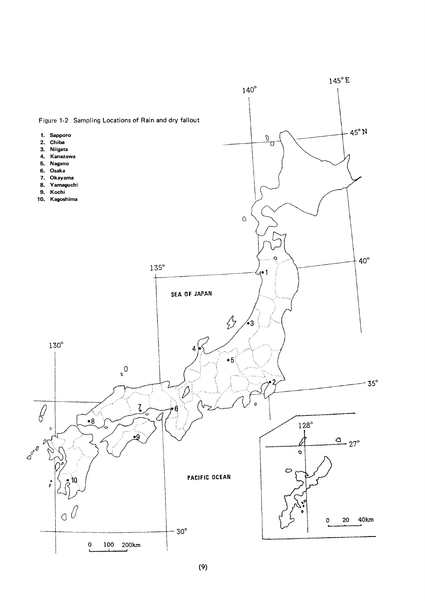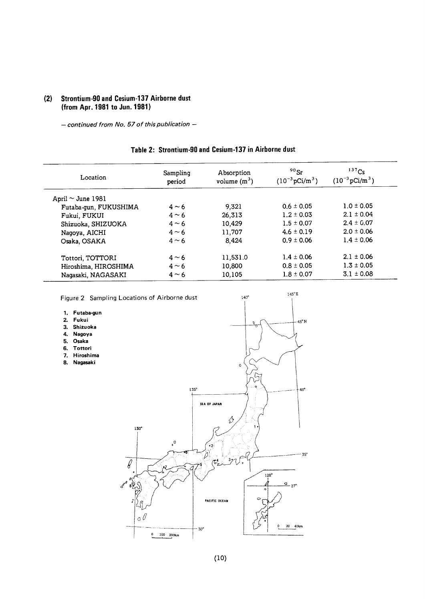## (2) Strontium-90 and Cesium-137 Airborne dust (from Apr. 1981 to Jun. 1981)

- continued from No. 57 of this publication -

#### Table 2: Strontium-90 and Cesium-137 in Airborne dust

| Location               | Sampling<br>period | Absorption<br>volume $(m^3)$ | $90$ Sr<br>$(10^{-3} \text{pCi/m}^3)$ | $137$ Cs<br>$(10^{-3} \text{pCi/m}^3)$ |
|------------------------|--------------------|------------------------------|---------------------------------------|----------------------------------------|
| April $\sim$ June 1981 |                    |                              |                                       |                                        |
| Futaba-gun, FUKUSHIMA  | $4 \sim 6$         | 9,321                        | $0.6 \pm 0.05$                        | $1.0 \pm 0.05$                         |
| Fukui, FUKUI           | $4 \sim 6$         | 26,313                       | $1.2 \pm 0.03$                        | $2.1 \pm 0.04$                         |
| Shizuoka, SHIZUOKA     | $4 \sim 6$         | 10,429                       | $1.5 \pm 0.07$                        | $2.4 \pm 0.07$                         |
| Nagoya, AICHI          | $4 \sim 6$         | 11,707                       | $4.6 \pm 0.19$                        | $2.0 \pm 0.06$                         |
| Osaka, OSAKA           | $4 \sim 6$         | 8.424                        | $0.9 \pm 0.06$                        | $1.4 \pm 0.06$                         |
| Tottori, TOTTORI       | $4 \sim 6$         | 11,531.0                     | $1.4 \pm 0.06$                        | $2.1 \pm 0.06$                         |
| Hiroshima, HIROSHIMA   | $4 \sim 6$         | 10,800                       | $0.8 \pm 0.05$                        | $1.3 \pm 0.05$                         |
| Nagasaki, NAGASAKI     | $4 \sim 6$         | 10,105                       | $1.8 \pm 0.07$                        | $3.1 \pm 0.08$                         |

 $140^{\circ}$ 

 $145^{\circ} E$ 

Figure 2 Sampling Locations of Airborne dust

- 1. Futaba-gun
- 2.Fukui
- 3.Shizuoka
- 4. Nagoya
- 5.Osaka
- 6.Tottori
- 7. Hiroshima
- 8. Nagasaki

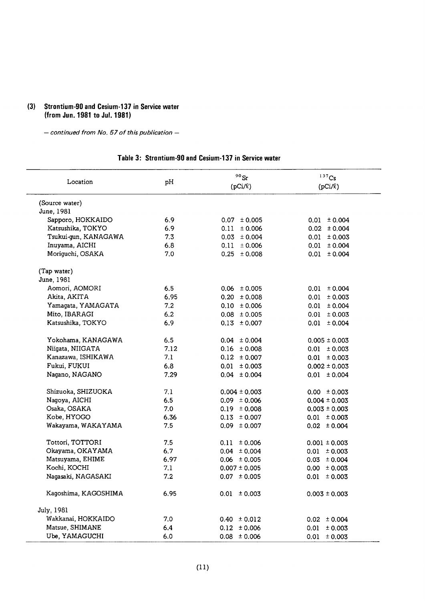## (3) Strontium-90 and Cesium-137 in Service water (from Jun. 1981 to Jul. 1981)

- continued from No. 57 of this publication -

## Table 3: Strontium-90 and Cesium-137 in Service water

| Location             | рH   | $^{90}\rm{Sr}$    | 137C <sub>S</sub> |
|----------------------|------|-------------------|-------------------|
|                      |      | $(pCi/\ell)$      | $(pCi/\ell)$      |
| (Source water)       |      |                   |                   |
| June, 1981           |      |                   |                   |
| Sapporo, HOKKAIDO    | 6.9  | $0.07 \pm 0.005$  | $0.01 \pm 0.004$  |
| Katsushika, TOKYO    | 6.9  | $0.11 \pm 0.006$  | $0.02 \pm 0.004$  |
| Tsukui-gun, KANAGAWA | 7.3  | $0.03 \pm 0.004$  | $0.01 \pm 0.003$  |
| Inuyama, AICHI       | 6.8  | $0.11 \pm 0.006$  | $0.01 \pm 0.004$  |
| Moriguchi, OSAKA     | 7.0  | $0.25 \pm 0.008$  | $0.01 \pm 0.004$  |
| (Tap water)          |      |                   |                   |
| June, 1981           |      |                   |                   |
| Aomori, AOMORI       | 6.5  | $0.06 \pm 0.005$  | $0.01 \pm 0.004$  |
| Akita, AKITA         | 6.95 | $0.20 \pm 0.008$  | $0.01 \pm 0.003$  |
| Yamagata, YAMAGATA   | 7.2  | $0.10 \pm 0.006$  | $0.01 \pm 0.004$  |
| Mito, IBARAGI        | 6.2  | $0.08 \pm 0.005$  | $0.01 \pm 0.003$  |
| Katsushika, TOKYO    | 6.9  | $0.13 \pm 0.007$  | $0.01 \pm 0.004$  |
| Yokohama, KANAGAWA   | 6.5  | $0.04 \pm 0.004$  | $0.005 \pm 0.003$ |
| Niigata, NIIGATA     | 7.12 | $0.16 \pm 0.008$  | $0.01 \pm 0.003$  |
| Kanazawa, ISHIKAWA   | 7.1  | $0.12 \pm 0.007$  | $0.01 \pm 0.003$  |
| Fukui, FUKUI         | 6.8  | $0.01 \pm 0.003$  | $0.002 \pm 0.003$ |
| Nagano, NAGANO       | 7.29 | $0.04 \pm 0.004$  | $0.01 \pm 0.004$  |
| Shizuoka, SHIZUOKA   | 7.1  | $0.004 \pm 0.003$ | $0.00 \pm 0.003$  |
| Nagoya, AICHI        | 6.5  | $0.09 \pm 0.006$  | $0.004 \pm 0.003$ |
| Osaka, OSAKA         | 7.0  | $0.19 \pm 0.008$  | $0.003 \pm 0.003$ |
| Kobe, HYOGO          | 6.36 | $0.13 \pm 0.007$  | $0.01 \pm 0.003$  |
| Wakayama, WAKAYAMA   | 7.5  | $0.09 \pm 0.007$  | $0.02 \pm 0.004$  |
| Tottori, TOTTORI     | 7.5  | $0.11 \pm 0.006$  | $0.001 \pm 0.003$ |
| Okayama, OKAYAMA     | 6.7  | $0.04 \pm 0.004$  | $0.01 \pm 0.003$  |
| Matsuyama, EHIME     | 6.97 | $0.06 \pm 0.005$  | $0.03 \pm 0.004$  |
| Kochi, KOCHI         | 7.1  | $0.007 \pm 0.005$ | $0.00 \pm 0.003$  |
| Nagasaki, NAGASAKI   | 7.2  | $0.07 \pm 0.005$  | $0.01 \pm 0.003$  |
| Kagoshima, KAGOSHIMA | 6.95 | $0.01 \pm 0.003$  | $0.003 \pm 0.003$ |
| July, 1981           |      |                   |                   |
| Wakkanai, HOKKAIDO   | 7.0  | $0.40 \pm 0.012$  | $0.02 \pm 0.004$  |
| Matsue, SHIMANE      | 6.4  | $0.12 \pm 0.006$  | $0.01 \pm 0.003$  |
| Ube, YAMAGUCHI       | 6.0  | $0.08 \pm 0.006$  | $0.01 \pm 0.003$  |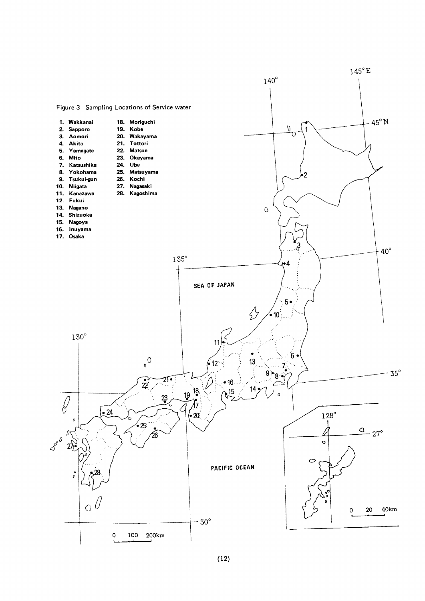

## $(12)$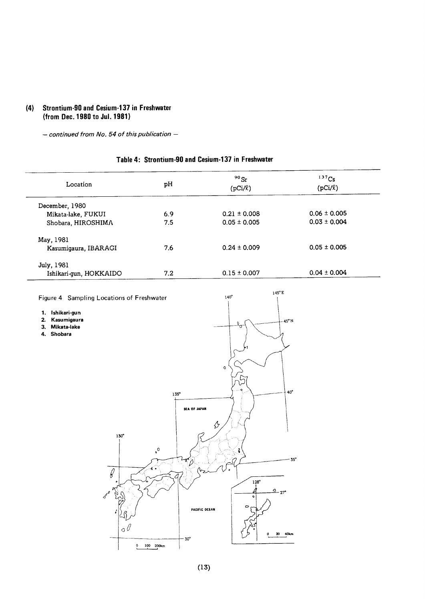#### Strontium-90 and Cesium-137 in Freshwater  $(4)$ (from Dec. 1980 to Jul. 1981)

 $-$  continued from No. 54 of this publication  $-$ 

## Table 4: Strontium-90 and Cesium-137 in Freshwater

| Location               | рH  | $90$ Sr<br>$(pCi/\ell)$ | 137Cs<br>$(pCi/\ell)$ |
|------------------------|-----|-------------------------|-----------------------|
| December, 1980         |     |                         |                       |
| Mikata-lake, FUKUI     | 6.9 | $0.21 \pm 0.008$        | $0.06 \pm 0.005$      |
| Shobara, HIROSHIMA     | 7.5 | $0.05 \pm 0.005$        | $0.03 \pm 0.004$      |
| May, 1981              |     |                         |                       |
| Kasumigaura, IBARAGI   | 7.6 | $0.24 \pm 0.009$        | $0.05 \pm 0.005$      |
| July, 1981             |     |                         |                       |
| Ishikari-gun, HOKKAIDO | 7.2 | $0.15 \pm 0.007$        | $0.04 \pm 0.004$      |

 $145^{\circ}E$ Figure 4 Sampling Locations of Freshwater  $140^\circ$ 1. Ishikari-gun 2. Kasumigaura  $-45^{\circ}$  N 3. Mikata-lake 4. Shobara  $\mathbf c$ 40  $135°$ SEA OF JAPAN  $\hat{\varphi}$  $130^\circ$  $\cdot^{\circ}$  $35^\circ$ D ď.  $\ell$  $\frac{128}{1}$  $\frac{0}{27}$ PACIFIC OCEAN  $\sigma$  $\bf 20$ 40km  $-30^{\circ}$  $100$   $200km$  $\overline{\phantom{0}}$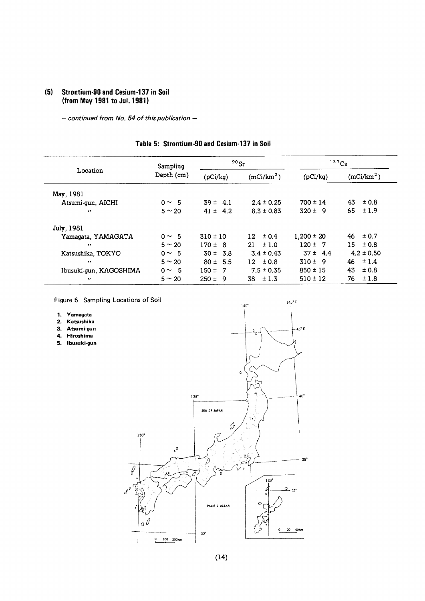## (5) Strontium-90 and Cesium-137 in Soil (from May 1981 to Jul. 1981)

- continued from No. 54 of this publication -

| Table 5: Strontium-90 and Cesium-137 in Soil |  |  |  |
|----------------------------------------------|--|--|--|
|----------------------------------------------|--|--|--|

|                        | Sampling    |              | $90$ Sr                |                | 137Cs                  |
|------------------------|-------------|--------------|------------------------|----------------|------------------------|
| Location               | Depth (cm)  | (pCi/kg)     | (mCi/km <sup>2</sup> ) | (pCi/kg)       | (mCi/km <sup>2</sup> ) |
| May, 1981              |             |              |                        |                |                        |
| Atsumi-gun, AICHI      | $0 \sim 5$  | $39 \pm 4.1$ | $2.4 \pm 0.25$         | $700 \pm 14$   | 43<br>±0.8             |
| $\bullet$              | $5 \sim 20$ | $41 \pm 4.2$ | $8.3 \pm 0.83$         | $320 \pm 9$    | ±1.9<br>65             |
| July, 1981             |             |              |                        |                |                        |
| Yamagata, YAMAGATA     | $0 \sim 5$  | $310 \pm 10$ | $\pm 0.4$<br>$12-1$    | $1.200 \pm 20$ | $\pm$ 0.7<br>46        |
| $\cdot$                | $5 \sim 20$ | $170 \pm 8$  | $21 \pm 1.0$           | $120 \pm 7$    | 15.<br>$\pm 0.8$       |
| Katsushika, TOKYO      | $0 \sim 5$  | $30 \pm 3.8$ | $3.4 \pm 0.43$         | $37 \pm 4.4$   | $4.2 \pm 0.50$         |
| $\cdot$                | $5 \sim 20$ | $80 \pm 5.5$ | $12 \pm 0.8$           | $310 \pm 9$    | ±1.4<br>46             |
| Ibusuki-gun, KAGOSHIMA | $0 \sim 5$  | $150 \pm 7$  | $7.5 \pm 0.35$         | $850 \pm 15$   | 43<br>± 0.8            |
| $^{\prime}$            | $5 \sim 20$ | $250 \pm 9$  | 38<br>±1.3             | $510 \pm 12$   | ±1.8<br>76             |

 $145^{\circ}$  E

Figure 5 Sampling Locations of Soil

- 
- 1. Yamagata<br>2. Katsushika<br>3. Atsumi-gun<br>4. Hiroshima<br>5. Ibusuki-gun 2
- 3. Atsumi-gun
- 4. Hiroshima
- 5. Ibusuki-gun

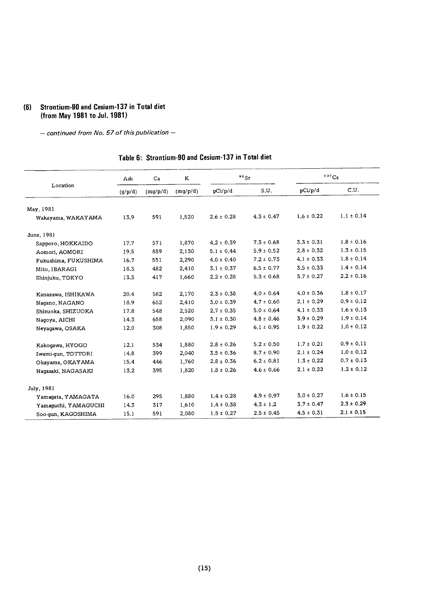## (6) Strontium-90 and Cesium-137 in Total diet (from May 1981 to Jul. 1981)

- continued from No. 57 of this publication -

## Table 6: Strontium-90 and Cesium-137 in Total diet

|                      | Ash     | Ca       | ĸ        |                | $90$ Sr        |                | $137$ Cs       |
|----------------------|---------|----------|----------|----------------|----------------|----------------|----------------|
| Location             | (g/p/d) | (mg/p/d) | (mg/p/d) | pCi/p/d        | S.U.           | pCi/p/d        | C.U.           |
| May, 1981            |         |          |          |                |                |                |                |
| Wakayama, WAKAYAMA   | 13.9    | 591      | 1,520    | $2.6 \pm 0.28$ | $4.3 \pm 0.47$ | $1.6 \pm 0.22$ | $1.1 \pm 0.14$ |
| June, 1981           |         |          |          |                |                |                |                |
| Sapporo, HOKKAIDO    | 17.7    | 571      | 1,870    | $4.2 \pm 0.39$ | $7.3 \pm 0.68$ | $3.3 \pm 0.31$ | $1.8 \pm 0.16$ |
| Aomori, AOMORI       | 19.5    | 859      | 2,130    | $5.1 \pm 0.44$ | $5.9 \pm 0.52$ | $2.8 \pm 0.32$ | $1.3 \pm 0.15$ |
| Fukushima, FUKUSHIMA | 16.7    | 551      | 2,290    | $4.0 \pm 0.40$ | $7.2 \pm 0.73$ | $4.1 \pm 0.33$ | $1.8 \pm 0.14$ |
| Mito, IBARAGI        | 18.3    | 482      | 2,410    | $3.1 \pm 0.37$ | $6.5 \pm 0.77$ | $3.5 \pm 0.33$ | $1.4 \pm 0.14$ |
| Shinjuku, TOKYO      | 13.3    | 417      | 1,660    | $2.2 \pm 0.28$ | $5.3 \pm 0.68$ | $3.7 \pm 0.27$ | $2.2 \pm 0.16$ |
| Kanazawa, ISHIKAWA   | 20.4    | 582      | 2,170    | $2.3 \pm 0.38$ | $4.0 \pm 0.64$ | $4.0 \pm 0.36$ | $1.8 \pm 0.17$ |
| Nagano, NAGANO       | 18.9    | 652      | 2,410    | $3.0 \pm 0.39$ | $4.7 \pm 0.60$ | $2.1 \pm 0.29$ | $0.9 \pm 0.12$ |
| Shizuoka, SHIZUOKA   | 17.8    | 548      | 2,520    | $2.7 \pm 0.35$ | $5.0 \pm 0.64$ | $4.1 \pm 0.33$ | $1.6 \pm 0.13$ |
| Nagoya, AICHI        | 14.3    | 658      | 2,090    | $3.1 \pm 0.30$ | $4.8 \pm 0.46$ | $3.9 \pm 0.29$ | $1.9 \pm 0.14$ |
| Neyagawa, OSAKA      | 12.0    | 308      | 1,850    | $1.9 \pm 0.29$ | $6.1 \pm 0.95$ | $1.9 \pm 0.22$ | $1.0 \pm 0.12$ |
| Kakogawa, HYOGO      | 12.1    | 534      | 1,880    | $2.8 \pm 0.26$ | $5.2 \pm 0.50$ | $1.7 \pm 0.21$ | $0.9 \pm 0.11$ |
| Iwami-qun, TOTTORI   | 14.8    | 399      | 2,040    | $3.5 \pm 0.36$ | $8.7 \pm 0.90$ | $2.1 \pm 0.24$ | $1.0 \pm 0.12$ |
| Okayama, OKAYAMA     | 15.4    | 446      | 1,760    | $2.8 \pm 0.36$ | $6.2 \pm 0.81$ | $1.3 \pm 0.22$ | $0.7 \pm 0.13$ |
| Naqasaki, NAGASAKI   | 13.2    | 395      | 1,820    | $1.8 \pm 0.26$ | $4.6 \pm 0.66$ | $2.1 \pm 0.22$ | $1.2 \pm 0.12$ |
| July, 1981           |         |          |          |                |                |                |                |
| Yamagata, YAMAGATA   | 16.0    | 295      | 1,880    | $1.4 \pm 0.28$ | $4.9 \pm 0.97$ | $3.0 \pm 0.27$ | $1.6 \pm 0.15$ |
| Yamaquchi, YAMAGUCHI | 14.3    | 317      | 1,610    | $1.4 \pm 0.38$ | $4.3 \pm 1.2$  | $3.7 \pm 0.47$ | $2.3 \pm 0.29$ |
| Soo-qun, KAGOSHIMA   | 15.1    | 591      | 2,080    | $1.5 \pm 0.27$ | $2.5 \pm 0.45$ | $4.5 \pm 0.31$ | $2.1 \pm 0.15$ |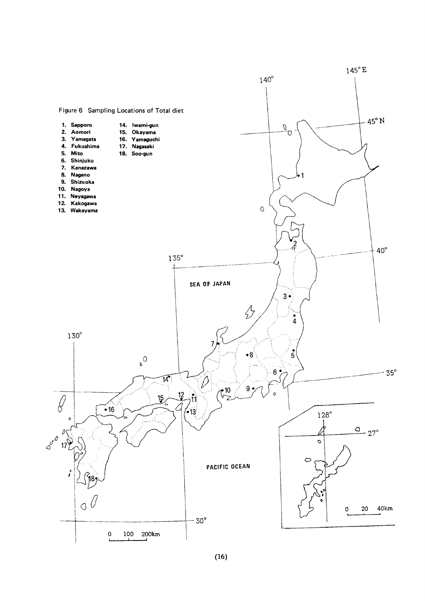

 $(16)$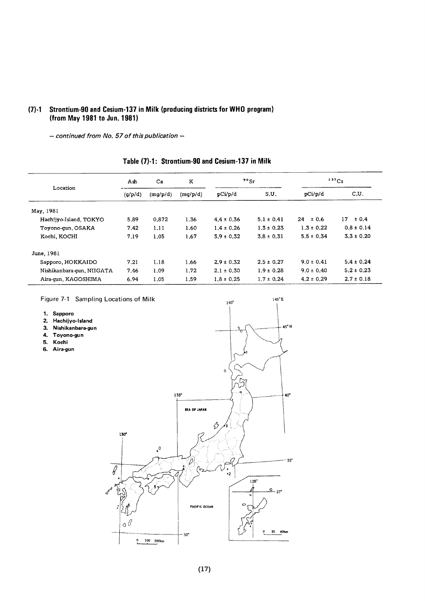## (7)-1 Strontium-90 and Cesium-137 in Milk (producing districts for WHO program) (from May 1981 to Jun. 1981)

 $-$  continued from No. 57 of this publication  $-$ 

|                           | Ash                 | Ca    |          |                | $90$ Sr        | $137C_S$       |                |
|---------------------------|---------------------|-------|----------|----------------|----------------|----------------|----------------|
| Location                  | (g/p/d)<br>(mq/p/d) |       | (mq/p/d) | pCi/p/d        | S.U.           | pCi/p/d        | C.U.           |
| May, 1981                 |                     |       |          |                |                |                |                |
| Hachijyo-Island, TOKYO    | 5.89                | 0.872 | 1.36     | $4.4 \pm 0.36$ | $5.1 \pm 0.41$ | 24<br>± 0.6    | 17.<br>± 0.4   |
| Toyono-gun, OSAKA         | 7.42                | 1.11  | 1.60     | $1.4 \pm 0.26$ | $1.3 \pm 0.23$ | $1.3 \pm 0.22$ | $0.8 \pm 0.14$ |
| Kochi, KOCHI              | 7.19                | 1.05  | 1.67     | $3.9 \pm 0.32$ | $3.8 \pm 0.31$ | $5.5 \pm 0.34$ | $3.3 \pm 0.20$ |
| June, 1981                |                     |       |          |                |                |                |                |
| Sapporo, HOKKAIDO         | 7.21                | 1.18  | 1.66     | $2.9 \pm 0.32$ | $2.5 \pm 0.27$ | $9.0 \pm 0.41$ | $5.4 \pm 0.24$ |
| Nishikanbara-qun, NIIGATA | 7.46                | 1.09  | 1.72     | $2.1 \pm 0.30$ | $1.9 \pm 0.28$ | $9.0 \pm 0.40$ | $5.2 \pm 0.23$ |
| Aira-qun, KAGOSHIMA       | 6.94                | 1.05  | 1.59     | $1.8 \pm 0.25$ | $1.7 \pm 0.24$ | $4.2 \pm 0.29$ | $2.7 \pm 0.18$ |

 $145^{\circ}E$ 

## Table (7)-1: Strontium-90 and Cesium-137 in Milk

Figure 7-1 Sampling Locations of Milk

- 1. Sapporo
- 2.Hachijyo-lsland
- 3. Nishikanbara-gun
- 4.Toyono-gun
- 5. Koehi
- 6. Aira-gun

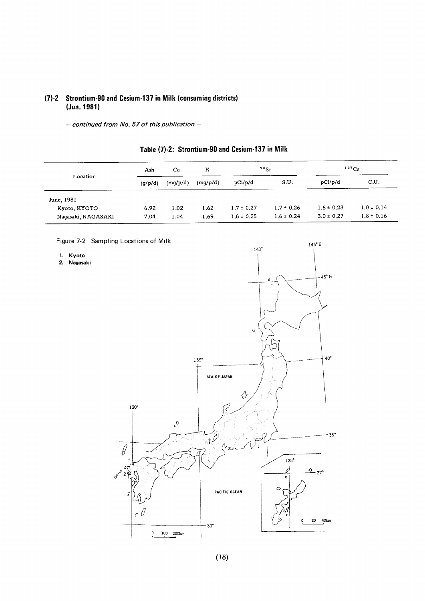## (7)-2 Strontium-90 and Cesium-137 in Milk (consuming districts) (Jun. 1981)

- continued from No. 57 of this publication -

| Ash<br>Location    |         | Ca       | K        | 90Sr           |                | 137Cs          |                |
|--------------------|---------|----------|----------|----------------|----------------|----------------|----------------|
|                    | (q/p/d) | (mg/p/d) | (mg/p/d) | pCi/p/d        | S.U.           | pCi/p/d        | C.U.           |
| June, 1981         |         |          |          |                |                |                |                |
| Kyoto, KYOTO       | 6.92    | 1.02     | 1.62     | $1.7 \pm 0.27$ | $1.7 \pm 0.26$ | $1.6 \pm 0.23$ | $1.0 \pm 0.14$ |
| Naqasaki, NAGASAKI | 7.04    | 1.04     | 1.69     | $1.6 \pm 0.25$ | $1.6 \pm 0.24$ | $3.0 \pm 0.27$ | $1.8 \pm 0.16$ |

## Table (7)-2: Strontium-90 and Cesium-137 in Milk

Figure 7-2 Sampling Locations of Milk

1. Kyoto

2.Nagasaki

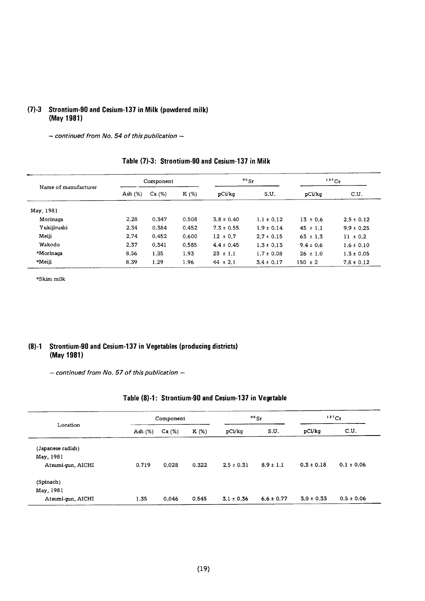#### (7)-3 Strontium-90 and Cesium-137 in Milk (powdered milk) (May 1981)

- continued from No. 54 of this publication -

| Name of manufacturer |            | Component |       |                | $90$ Sr        | 137Cs         |                |  |
|----------------------|------------|-----------|-------|----------------|----------------|---------------|----------------|--|
|                      | Ash $(\%)$ | Ca (%)    | K(%)  | pCi/kg         | S.U.           | pCi/kq        | c.u.           |  |
| May, 1981            |            |           |       |                |                |               |                |  |
| Morinaga             | 2.28       | 0.347     | 0.508 | $3.8 \pm 0.40$ | $1.1 \pm 0.12$ | $13 \pm 0.6$  | $2.5 \pm 0.12$ |  |
| Yukijirushi          | 2.34       | 0.384     | 0.452 | $7.3 \pm 0.55$ | $1.9 \pm 0.14$ | $45 \pm 1.1$  | $9.9 \pm 0.25$ |  |
| Meiji                | 2.74       | 0.452     | 0.600 | $12 \pm 0.7$   | $2.7 \pm 0.15$ | $63 \pm 1.3$  | $11 \pm 0.2$   |  |
| Wakodo               | 2.37       | 0.341     | 0.585 | $4.4 \pm 0.45$ | $1.3 \pm 0.13$ | $9.4 \pm 0.6$ | $1.6 \pm 0.10$ |  |
| *Morinaga            | 8.56       | 1.35      | 1.93  | $23 \pm 1.1$   | $1.7 \pm 0.08$ | $26 \pm 1.0$  | $1.3 \pm 0.05$ |  |
| *Meiji               | 8.39       | 1.29      | 1.96  | $44 \pm 2.1$   | $3.4 \pm 0.17$ | $150 \pm 2$   | $7.8 \pm 0.12$ |  |

## Table (7)-3: Strontium-90 and Cesium-137 in Milk

 $\star$ Skim milk

#### (8)-1 Strontium-90 and Cesium-137 in Vegetables (producing districts) (May1981)

- continued from No. 57 of this publication -

|  | Table (8)-1: Strontium-90 and Cesium-137 in Vegetable |  |  |
|--|-------------------------------------------------------|--|--|
|--|-------------------------------------------------------|--|--|

| Location          |            | Component |         |                | $90$ Sr        | 137Cs          |                |
|-------------------|------------|-----------|---------|----------------|----------------|----------------|----------------|
|                   | Ash $(\%)$ | Ca (%)    | $K(\%)$ | pCi/kg         | S.U.           | pCi/kg         | C.U.           |
| (Japanese radish) |            |           |         |                |                |                |                |
| May. 1981         |            |           |         |                |                |                |                |
| Atsumi-gun, AICHI | 0.719      | 0.028     | 0.322   | $2.5 \pm 0.31$ | $8.9 \pm 1.1$  | $0.3 \pm 0.18$ | $0.1 \pm 0.06$ |
| (Spinach)         |            |           |         |                |                |                |                |
| May, 1981         |            |           |         |                |                |                |                |
| Atsumi-gun, AICHI | 1.35       | 0.046     | 0.545   | $3.1 \pm 0.36$ | $6.6 \pm 0.77$ | $3.0 \pm 0.33$ | $0.5 \pm 0.06$ |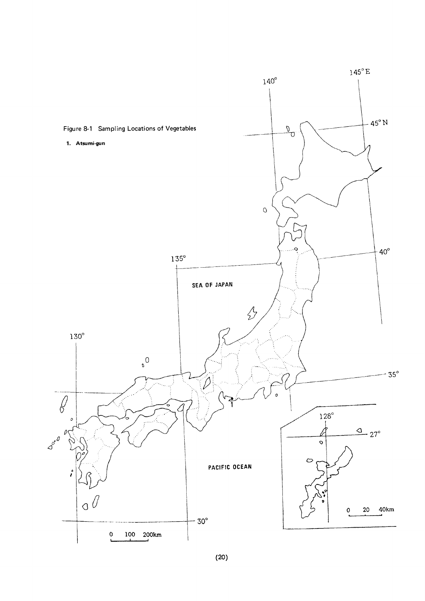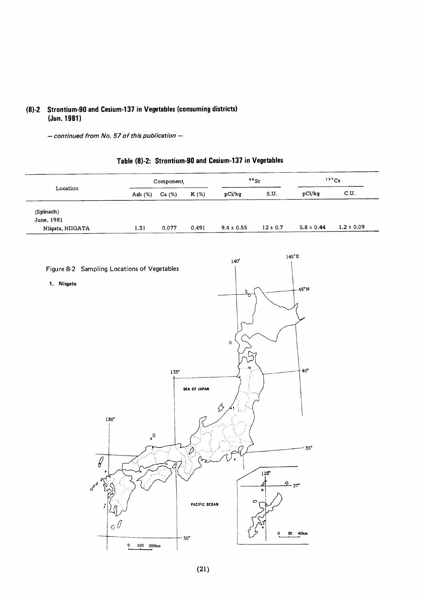## (8)-2 Strontium-90 and Cesium-137 in Vegetables (consuming districts) (Jun. 1981)

 $-$  continued from No. 57 of this publication  $-$ 

|                                             |                      | $\texttt{Component}$ |               |                | $\rm ^{90}Sr$ | 137Cs                                  |                |  |
|---------------------------------------------|----------------------|----------------------|---------------|----------------|---------------|----------------------------------------|----------------|--|
| ${\tt Location}$                            | Ash (%)              | Ca (%)               | K (%)         | pCi/kg         | S.U.          | $\mathop{\hbox{\rm pC}}\nolimits$ i/kg | c.u.           |  |
| (Spinach)                                   |                      |                      |               |                |               |                                        |                |  |
| June, 1981                                  |                      |                      |               |                |               |                                        |                |  |
| Niigata, NIIGATA                            | 1.31                 | 0.077                | 0.491         | $9.4 \pm 0.55$ | $12 \pm 0.7$  | $5.8 \pm 0.44$                         | $1.2 \pm 0.09$ |  |
|                                             |                      |                      |               |                |               |                                        |                |  |
|                                             |                      |                      |               | $140^\circ$    |               | $145^{\circ}E$                         |                |  |
| Figure 8-2 Sampling Locations of Vegetables |                      |                      |               |                |               |                                        |                |  |
| 1. Niigata                                  |                      |                      |               |                |               | 45°N                                   |                |  |
|                                             |                      |                      |               | D.<br>τ        |               |                                        |                |  |
|                                             |                      |                      |               |                |               |                                        |                |  |
|                                             |                      |                      |               |                |               |                                        |                |  |
|                                             |                      |                      |               |                |               |                                        |                |  |
|                                             |                      |                      |               | $\mathsf{o}$   |               |                                        |                |  |
|                                             |                      |                      |               |                |               |                                        |                |  |
|                                             |                      | $135^\circ$          |               | ۰              |               | $40^{\circ}$                           |                |  |
|                                             |                      |                      | SEA OF JAPAN  |                |               |                                        |                |  |
|                                             |                      |                      |               |                |               |                                        |                |  |
|                                             |                      |                      |               | ∯              |               |                                        |                |  |
| $130^\circ$                                 |                      |                      |               |                |               |                                        |                |  |
|                                             | $\cdot$ <sup>0</sup> |                      |               |                |               |                                        |                |  |
|                                             |                      |                      |               |                |               | $35^\circ$                             |                |  |
| $\ell$                                      |                      |                      | $\mathscr{D}$ |                |               |                                        |                |  |
|                                             |                      |                      |               |                | $128^\circ$   |                                        |                |  |
| $\sigma^{\theta}$                           |                      |                      |               |                |               | $\frac{Q}{27}$ °                       |                |  |
| ⋖<br>م0                                     |                      |                      |               |                | ۰             |                                        |                |  |
|                                             |                      |                      | PACIFIC OCEAN | $\circ$        |               |                                        |                |  |
|                                             |                      |                      |               |                |               |                                        |                |  |
|                                             | o                    |                      |               |                | ٥             | 20 40km                                |                |  |
|                                             | $0 100 200$ km       |                      | $-30^\circ$   |                |               |                                        |                |  |

## Table (8)-2: Strontium-90 and Cesium-137 in Vegetables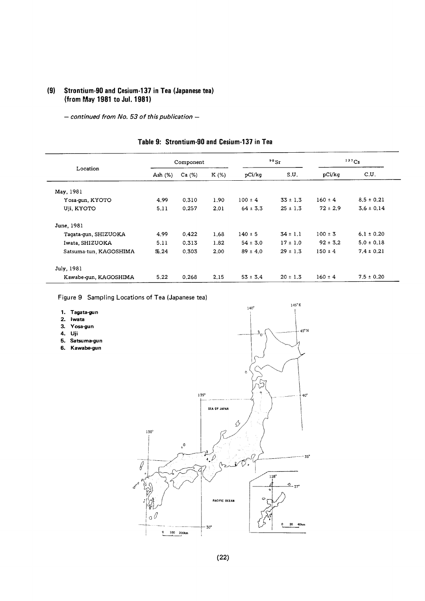## (9) Strontium-90 and Cesium-137 in Tea (Japanese tea) (from May 1981 to Jul. 1981)

- continued from No. 53 of this publication -

|                        |            | Component |         |              | $90$ Sr      | $137$ Cs     |                |
|------------------------|------------|-----------|---------|--------------|--------------|--------------|----------------|
| Location               | Ash $(\%)$ | Ca (%)    | $K(\%)$ | pCi/kg       | S.U.         | pCi/kg       | C.U.           |
| May, 1981              |            |           |         |              |              |              |                |
| Yosa-gun, KYOTO        | 4.99       | 0.310     | 1.90    | $100 \pm 4$  | $33 \pm 1.3$ | $160 \pm 4$  | $8.5 \pm 0.21$ |
| Uji, KYOTO             | 5.11       | 0.257     | 2.01    | $64 \pm 3.3$ | $25 \pm 1.3$ | $72 \pm 2.9$ | $3.6 \pm 0.14$ |
| June, 1981             |            |           |         |              |              |              |                |
| Tagata-gun, SHIZUOKA   | 4.99       | 0.422     | 1.68    | $140 \pm 5$  | $34 \pm 1.1$ | $100 \pm 3$  | $6.1 \pm 0.20$ |
| Iwata, SHIZUOKA        | 5.11       | 0.313     | 1.82    | $54 \pm 3.0$ | $17 \pm 1.0$ | $92 \pm 3.2$ | $5.0 \pm 0.18$ |
| Satsuma-tun, KAGOSHIMA | 5.24       | 0.303     | 2.00    | $89 \pm 4.0$ | $29 \pm 1.3$ | $150 \pm 4$  | $7.4 \pm 0.21$ |
| July, 1981             |            |           |         |              |              |              |                |
| Kawabe-qun, KAGOSHIMA  | 5.22       | 0.268     | 2.15    | $53 \pm 3.4$ | $20 \pm 1.3$ | $160 \pm 4$  | $7.5 \pm 0.20$ |

## Table 9: Strontium-90 and Cesium-137 in Tea

Figure 9 Sampling Locations of Tea (Japanese tea)

| Tagata-gun |
|------------|
|            |

- 2.lwata
- 3.Yosa-gun
- 4.Uji
- 5. Satsuma-gun
- 6. Kawabe-gun

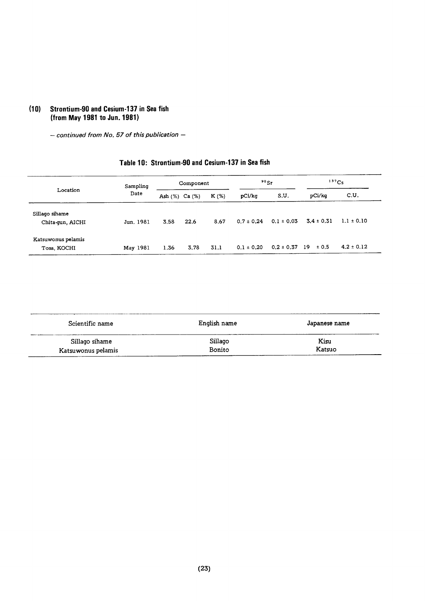## (10) Strontium-90 and Cesium-137 in Sea fish (from May 1981 to Jun. 1981)

 $-$  continued from No. 57 of this publication  $-$ 

| Location<br>Date                   | Sampling  | Component      |      |         | $90$ Sr        |                | 137C <sub>S</sub> |                |
|------------------------------------|-----------|----------------|------|---------|----------------|----------------|-------------------|----------------|
|                                    |           | Ash (%) Ca (%) |      | $K(\%)$ | pCi/kg         | S.U.           | pCi/kq            | C.U.           |
| Sillago sihame<br>Chita-gun, AICHI | Jun. 1981 | 3.58           | 22.6 | 8.67    | $0.7 \pm 0.24$ | $0.1 \pm 0.03$ | $3.4 \pm 0.31$    | $1.1 \pm 0.10$ |
| Katsuwonus pelamis<br>Tosa, KOCHI  | May 1981  | 1.36           | 3.78 | 31.1    | $0.1 \pm 0.20$ | $0.2 \pm 0.37$ | - 19<br>± 0.5     | $4.2 \pm 0.12$ |

## Table 10: Strontium-90 and Cesium-137 in Sea fish

| Scientific name    | English name | Japanese name |
|--------------------|--------------|---------------|
| Sillago sihame     | Sillago      | Kisu          |
| Katsuwonus pelamis | Bonito       | Katsuo        |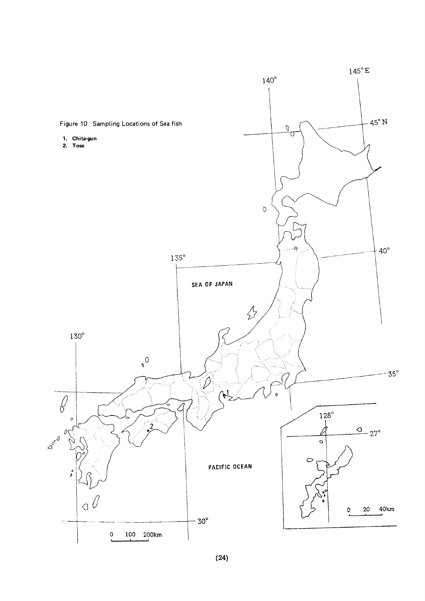

 $(24)$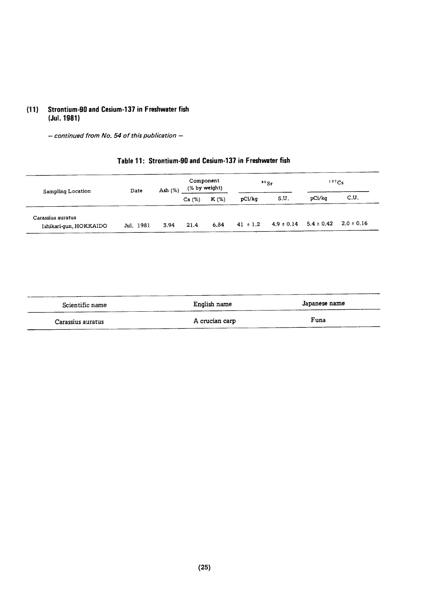#### Strontium-90 and Cesium-137 in Freshwater fish  $(11)$ (Jul. 1981)

 $-$  continued from No. 54 of this publication  $-$ 

## Table 11: Strontium-90 and Cesium-137 in Freshwater fish

| Sampling Location                           | Date      | Ash $(%)$ | Component<br>(% by weight) |         | $90$ Sr      |                | 137Cs          |                |
|---------------------------------------------|-----------|-----------|----------------------------|---------|--------------|----------------|----------------|----------------|
|                                             |           |           | Ca(%)                      | $K(\%)$ | pCi/kg       | S.U.           | pCi/kq         | C.U.           |
| Carassius auratus<br>Ishikari-gun, HOKKAIDO | Jul. 1981 | 3.94      | 21.4                       | 6.84    | $41 \pm 1.2$ | $4.9 \pm 0.14$ | $5.4 \pm 0.42$ | $2.0 \pm 0.16$ |

| Scientific name   | English name   | Japanese name  |
|-------------------|----------------|----------------|
| Carassius auratus | A crucian carp | Funa<br>______ |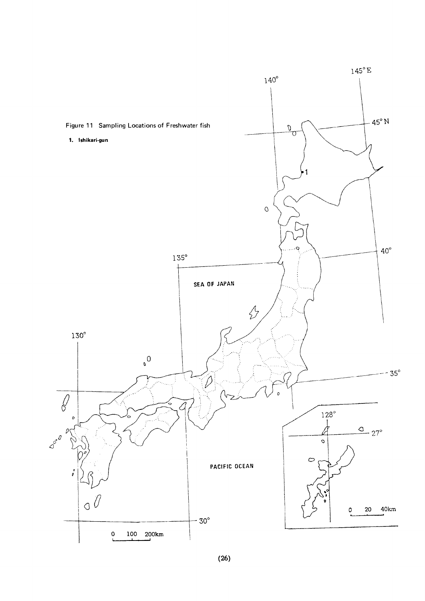

 $(26)$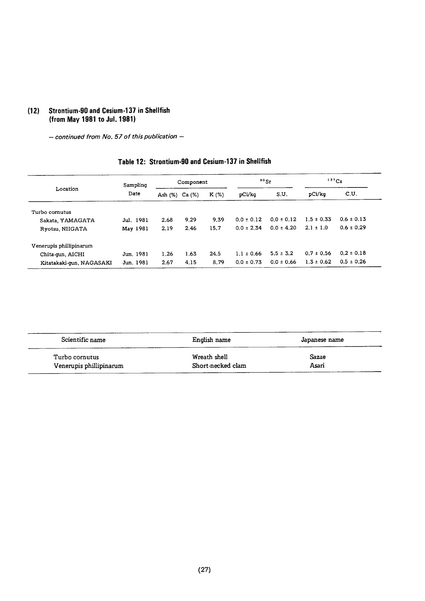#### Strontium-90 and Cesium-137 in Shellfish  $(12)$ (from May 1981 to Jul. 1981)

 $-$  continued from No. 57 of this publication  $-$ 

## Table 12: Strontium-90 and Cesium-137 in Shellfish

| Sampling<br>Location<br>Date |                |      | Component |        | $90g_r$        |                | 137Cs          |                |
|------------------------------|----------------|------|-----------|--------|----------------|----------------|----------------|----------------|
|                              | Ash (%) Ca (%) |      | K (%)     | pCi/kq | S.U.           | pCi/kg         | C.U.           |                |
| Turbo cornutus               |                |      |           |        |                |                |                |                |
| Sakata, YAMAGATA             | Jul. 1981      | 2.68 | 9.29      | 9.39   | $0.0 \pm 0.12$ | $0.0 \pm 0.12$ | $1.5 \pm 0.33$ | $0.6 \pm 0.13$ |
| Ryotsu, NIIGATA              | May 1981       | 2.19 | 2.46      | 15.7   | $0.0 \pm 2.34$ | $0.0 \pm 4.20$ | $2.1 \pm 1.0$  | $0.6 \pm 0.29$ |
| Venerupis phillipinarum      |                |      |           |        |                |                |                |                |
| Chita-qun, AICHI             | Jun. 1981      | 1.26 | 1.63      | 24.5   | $1.1 \pm 0.66$ | $5.5 \pm 3.2$  | $0.7 \pm 0.56$ | $0.2 \pm 0.18$ |
| Kitatakaki-gun, NAGASAKI     | Jun. 1981      | 2.67 | 4.15      | 8.79   | $0.0 \pm 0.73$ | $0.0 \pm 0.66$ | $1.3 \pm 0.62$ | $0.5 \pm 0.26$ |

| Scientific name         | English name      | Japanese name |  |  |
|-------------------------|-------------------|---------------|--|--|
| Turbo cornutus          | Wreath shell      | Sazae         |  |  |
| Venerupis phillipinarum | Short-necked clam | Asari         |  |  |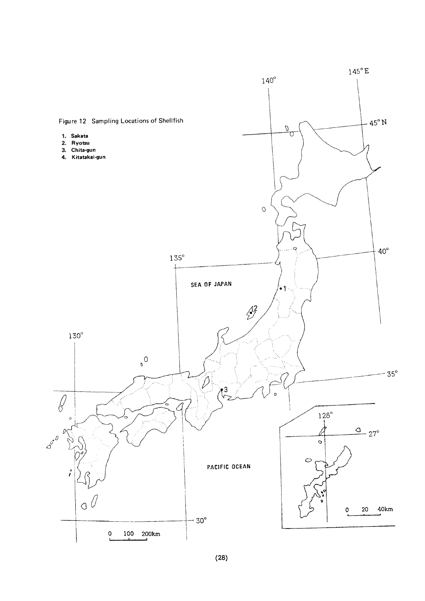

 $(28)$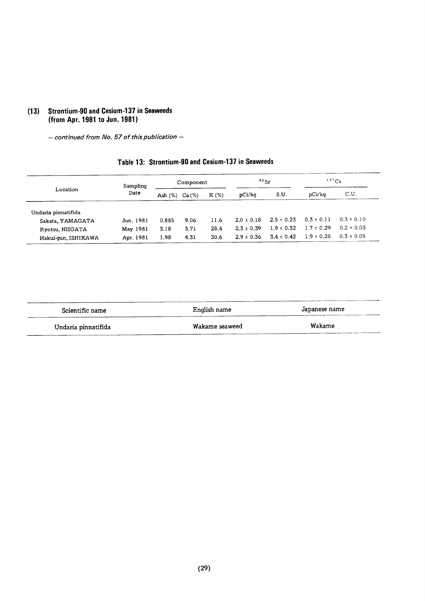## (13) Strontium-90 and Cesium-137 in Seaweeds (from Apr. 1981 to Jun. 1981)

 $-$  continued from No. 57 of this publication  $-$ 

## Table 13: Strontium-90 and Cesium-137 in Seaweeds

| Sampling<br>Location<br>Date |            |        | Component |        | 90 <sub>5</sub> |                | 137Cs          |                |
|------------------------------|------------|--------|-----------|--------|-----------------|----------------|----------------|----------------|
|                              | Ash $(\%)$ | Ca (%) | $K(\%)$   | pCi/kq | S.U.            | pCi/ka         | C.U.           |                |
| Undaria pinnatifida          |            |        |           |        |                 |                |                |                |
| Sakata, YAMAGATA             | Jun. 1981  | 0.885  | 9.06      | 11.6   | $2.0 \pm 0.18$  | $2.5 \pm 0.23$ | $0.3 \pm 0.11$ | $0.3 \pm 0.10$ |
| Ryotsu, NIIGATA              | May 1981   | 3.18   | 3.71      | 28.4   | $2.3 \pm 0.39$  | $1.9 \pm 0.32$ | $1.7 \pm 0.29$ | $0.2 \pm 0.03$ |
| Hakui-qun, ISHIKAWA          | Apr. 1981  | 1.98   | 4.31      | 30.6   | $2.9 \pm 0.36$  | $3.4 \pm 0.42$ | $1.9 \pm 0.28$ | $0.3 \pm 0.05$ |

| Scientific name     | English name   | Japanese name |  |
|---------------------|----------------|---------------|--|
| Undaria pinnatifida | Wakame seaweed | Wakame        |  |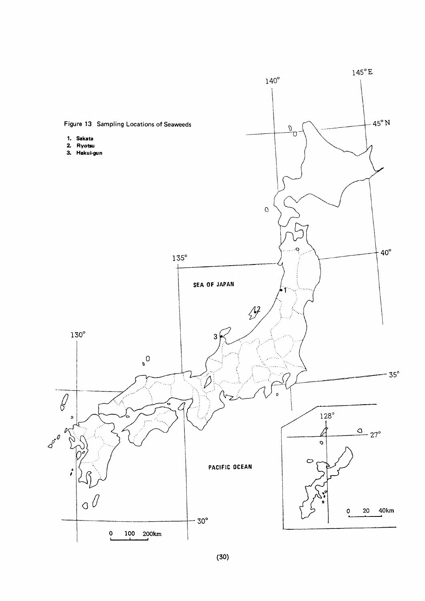

 $(30)$